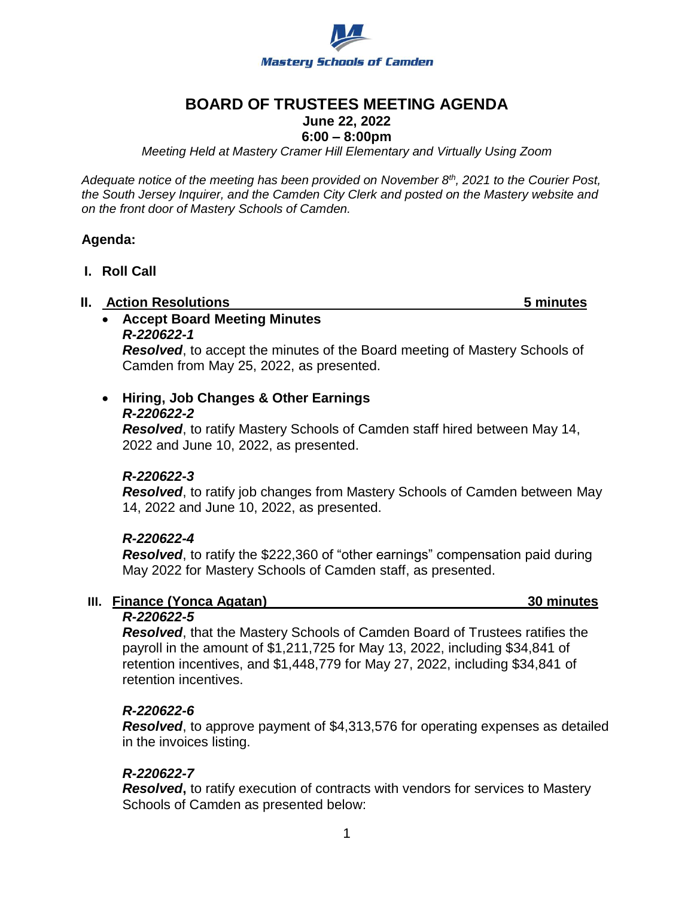

# **BOARD OF TRUSTEES MEETING AGENDA**

# **June 22, 2022**

## **6:00 – 8:00pm**

*Meeting Held at Mastery Cramer Hill Elementary and Virtually Using Zoom*

*Adequate notice of the meeting has been provided on November 8th, 2021 to the Courier Post, the South Jersey Inquirer, and the Camden City Clerk and posted on the Mastery website and on the front door of Mastery Schools of Camden.*

## **Agenda:**

**I. Roll Call**

#### **II. Action Resolutions 5 minutes**

 **Accept Board Meeting Minutes** *R-220622-1*

*Resolved*, to accept the minutes of the Board meeting of Mastery Schools of Camden from May 25, 2022, as presented.

# **Hiring, Job Changes & Other Earnings**

#### *R-220622-2*

*Resolved*, to ratify Mastery Schools of Camden staff hired between May 14, 2022 and June 10, 2022, as presented.

## *R-220622-3*

*Resolved*, to ratify job changes from Mastery Schools of Camden between May 14, 2022 and June 10, 2022, as presented.

## *R-220622-4*

*Resolved*, to ratify the \$222,360 of "other earnings" compensation paid during May 2022 for Mastery Schools of Camden staff, as presented.

## **III. Finance (Yonca Agatan) 30 minutes**

## *R-220622-5*

*Resolved*, that the Mastery Schools of Camden Board of Trustees ratifies the payroll in the amount of \$1,211,725 for May 13, 2022, including \$34,841 of retention incentives, and \$1,448,779 for May 27, 2022, including \$34,841 of retention incentives.

## *R-220622-6*

*Resolved*, to approve payment of \$4,313,576 for operating expenses as detailed in the invoices listing.

## *R-220622-7*

*Resolved***,** to ratify execution of contracts with vendors for services to Mastery Schools of Camden as presented below: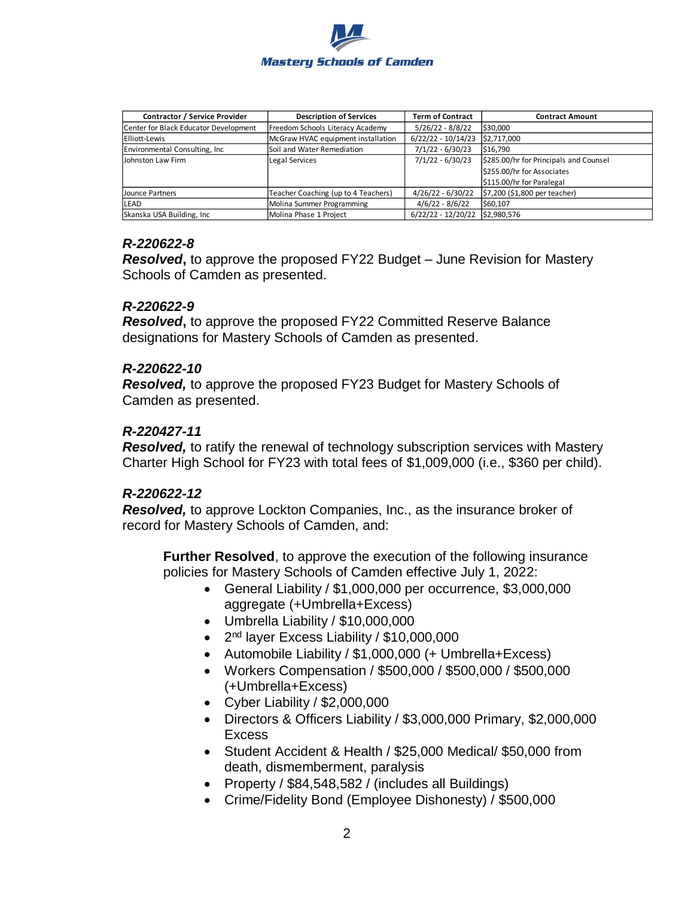

| <b>Contractor / Service Provider</b>  | <b>Description of Services</b>      | <b>Term of Contract</b> | <b>Contract Amount</b>                 |
|---------------------------------------|-------------------------------------|-------------------------|----------------------------------------|
| Center for Black Educator Development | Freedom Schools Literacy Academy    | $5/26/22 - 8/8/22$      | \$30,000                               |
| Elliott-Lewis                         | McGraw HVAC equipment installation  | $6/22/22 - 10/14/23$    | \$2,717,000                            |
| Environmental Consulting, Inc.        | Soil and Water Remediation          | $7/1/22 - 6/30/23$      | \$16,790                               |
| Johnston Law Firm                     | <b>Legal Services</b>               | $7/1/22 - 6/30/23$      | \$285.00/hr for Principals and Counsel |
|                                       |                                     |                         | \$255.00/hr for Associates             |
|                                       |                                     |                         | \$115.00/hr for Paralegal              |
| Jounce Partners                       | Teacher Coaching (up to 4 Teachers) | $4/26/22 - 6/30/22$     | \$7,200 (\$1,800 per teacher)          |
| LEAD                                  | Molina Summer Programming           | $4/6/22 - 8/6/22$       | \$60.107                               |
| Skanska USA Building, Inc.            | Molina Phase 1 Project              | $6/22/22 - 12/20/22$    | \$2.980.576                            |

## *R-220622-8*

*Resolved***,** to approve the proposed FY22 Budget – June Revision for Mastery Schools of Camden as presented.

## *R-220622-9*

*Resolved***,** to approve the proposed FY22 Committed Reserve Balance designations for Mastery Schools of Camden as presented.

## *R-220622-10*

*Resolved,* to approve the proposed FY23 Budget for Mastery Schools of Camden as presented.

## *R-220427-11*

*Resolved,* to ratify the renewal of technology subscription services with Mastery Charter High School for FY23 with total fees of \$1,009,000 (i.e., \$360 per child).

## *R-220622-12*

*Resolved,* to approve Lockton Companies, Inc., as the insurance broker of record for Mastery Schools of Camden, and:

**Further Resolved**, to approve the execution of the following insurance policies for Mastery Schools of Camden effective July 1, 2022:

- General Liability / \$1,000,000 per occurrence, \$3,000,000 aggregate (+Umbrella+Excess)
- Umbrella Liability / \$10,000,000
- 2<sup>nd</sup> layer Excess Liability / \$10,000,000
- Automobile Liability / \$1,000,000 (+ Umbrella+Excess)
- Workers Compensation / \$500,000 / \$500,000 / \$500,000 (+Umbrella+Excess)
- Cyber Liability / \$2,000,000
- Directors & Officers Liability / \$3,000,000 Primary, \$2,000,000 Excess
- Student Accident & Health / \$25,000 Medical/ \$50,000 from death, dismemberment, paralysis
- Property / \$84,548,582 / (includes all Buildings)
- Crime/Fidelity Bond (Employee Dishonesty) / \$500,000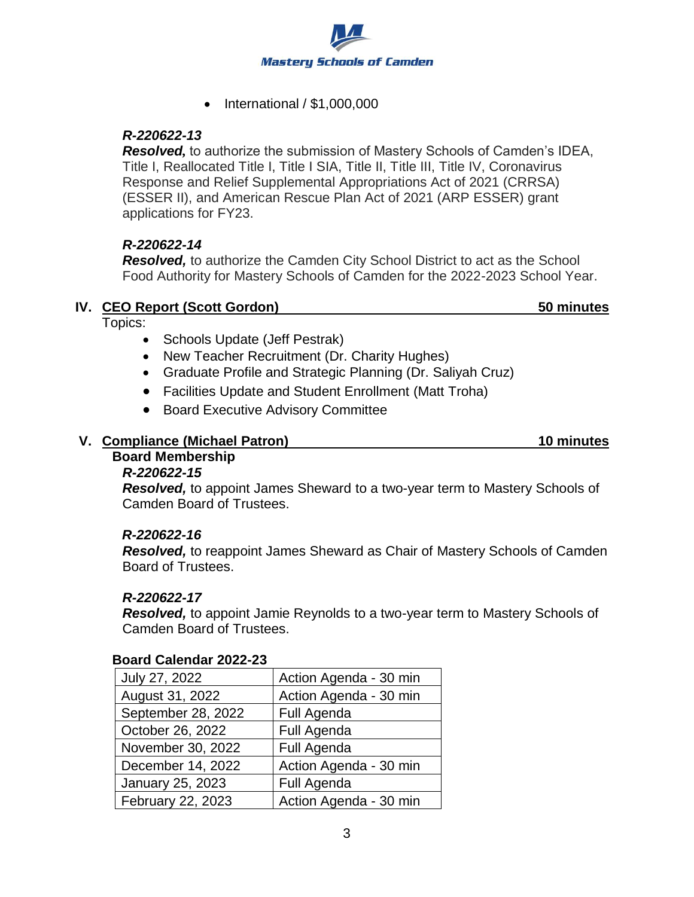

 $\bullet$  International / \$1,000,000

## *R-220622-13*

*Resolved,* to authorize the submission of Mastery Schools of Camden's IDEA, Title I, Reallocated Title I, Title I SIA, Title II, Title III, Title IV, Coronavirus Response and Relief Supplemental Appropriations Act of 2021 (CRRSA) (ESSER II), and American Rescue Plan Act of 2021 (ARP ESSER) grant applications for FY23.

## *R-220622-14*

*Resolved,* to authorize the Camden City School District to act as the School Food Authority for Mastery Schools of Camden for the 2022-2023 School Year.

## **IV. CEO Report (Scott Gordon)** 50 **minutes**

Topics:

- Schools Update (Jeff Pestrak)
- New Teacher Recruitment (Dr. Charity Hughes)
- Graduate Profile and Strategic Planning (Dr. Saliyah Cruz)
- Facilities Update and Student Enrollment (Matt Troha)
- **Board Executive Advisory Committee**

# **V. Compliance (Michael Patron) 10 minutes**

#### **Board Membership** *R-220622-15*

*Resolved,* to appoint James Sheward to a two-year term to Mastery Schools of Camden Board of Trustees.

## *R-220622-16*

*Resolved,* to reappoint James Sheward as Chair of Mastery Schools of Camden Board of Trustees.

## *R-220622-17*

*Resolved,* to appoint Jamie Reynolds to a two-year term to Mastery Schools of Camden Board of Trustees.

| July 27, 2022      | Action Agenda - 30 min |  |
|--------------------|------------------------|--|
| August 31, 2022    | Action Agenda - 30 min |  |
| September 28, 2022 | Full Agenda            |  |
| October 26, 2022   | Full Agenda            |  |
| November 30, 2022  | Full Agenda            |  |
| December 14, 2022  | Action Agenda - 30 min |  |
| January 25, 2023   | Full Agenda            |  |
| February 22, 2023  | Action Agenda - 30 min |  |

## **Board Calendar 2022-23**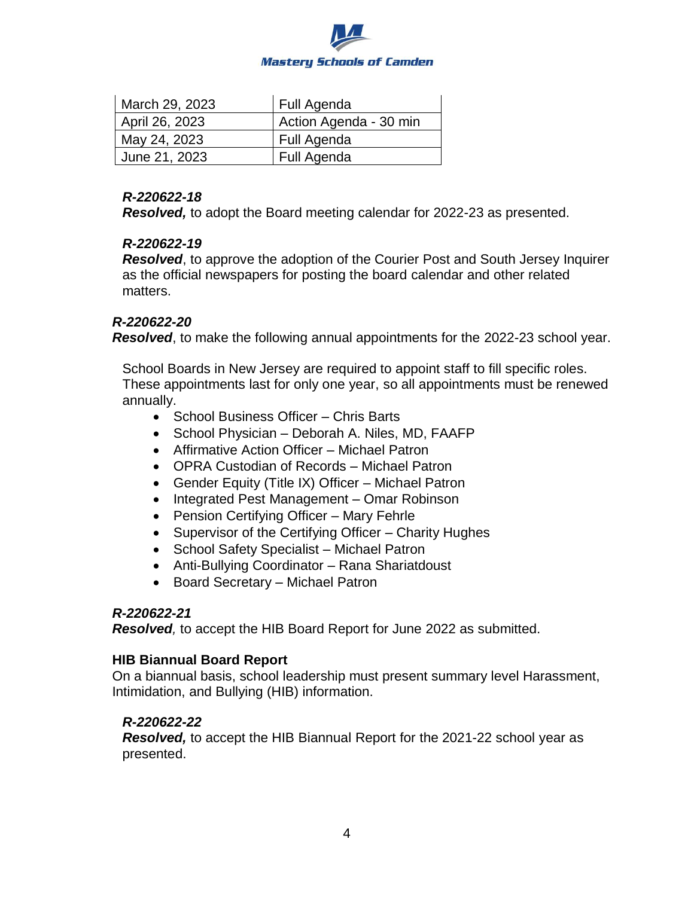

| March 29, 2023 | Full Agenda            |
|----------------|------------------------|
| April 26, 2023 | Action Agenda - 30 min |
| May 24, 2023   | Full Agenda            |
| June 21, 2023  | Full Agenda            |

#### *R-220622-18*

*Resolved,* to adopt the Board meeting calendar for 2022-23 as presented.

## *R-220622-19*

*Resolved*, to approve the adoption of the Courier Post and South Jersey Inquirer as the official newspapers for posting the board calendar and other related matters.

## *R-220622-20*

*Resolved*, to make the following annual appointments for the 2022-23 school year.

School Boards in New Jersey are required to appoint staff to fill specific roles. These appointments last for only one year, so all appointments must be renewed annually.

- School Business Officer Chris Barts
- School Physician Deborah A. Niles, MD, FAAFP
- Affirmative Action Officer Michael Patron
- OPRA Custodian of Records Michael Patron
- Gender Equity (Title IX) Officer Michael Patron
- Integrated Pest Management Omar Robinson
- Pension Certifying Officer Mary Fehrle
- Supervisor of the Certifying Officer Charity Hughes
- School Safety Specialist Michael Patron
- Anti-Bullying Coordinator Rana Shariatdoust
- Board Secretary Michael Patron

## *R-220622-21*

*Resolved,* to accept the HIB Board Report for June 2022 as submitted.

## **HIB Biannual Board Report**

On a biannual basis, school leadership must present summary level Harassment, Intimidation, and Bullying (HIB) information.

## *R-220622-22*

*Resolved,* to accept the HIB Biannual Report for the 2021-22 school year as presented.